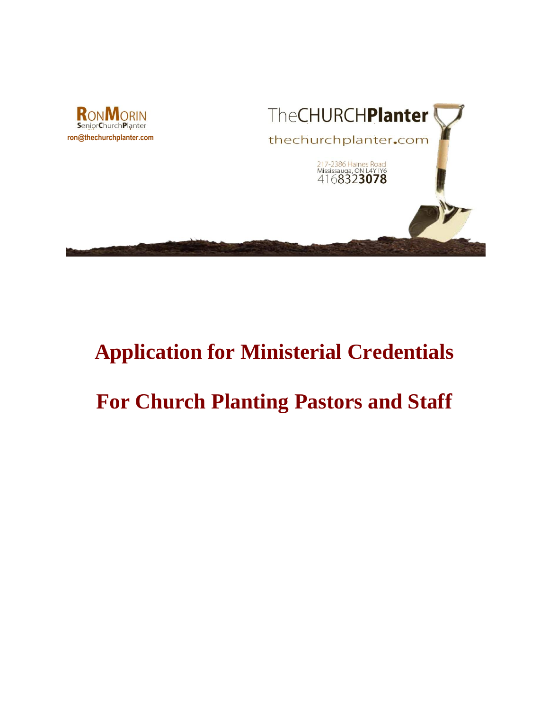



# **Application for Ministerial Credentials**

# **For Church Planting Pastors and Staff**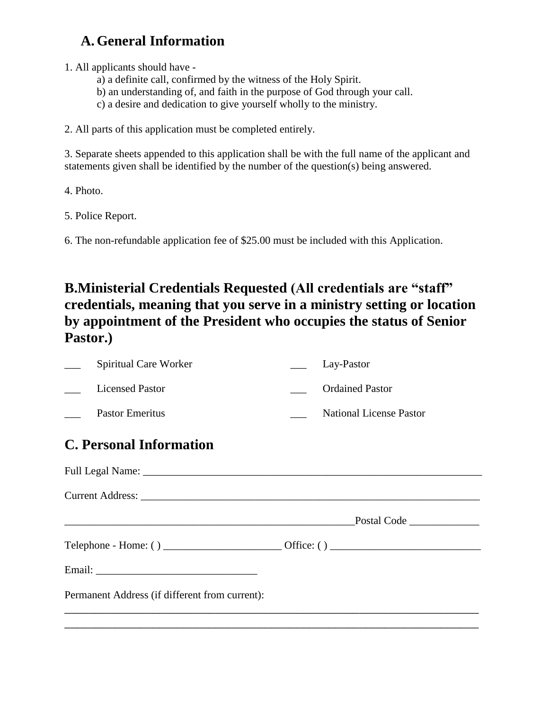### **A. General Information**

1. All applicants should have -

- a) a definite call, confirmed by the witness of the Holy Spirit.
- b) an understanding of, and faith in the purpose of God through your call.
- c) a desire and dedication to give yourself wholly to the ministry.

2. All parts of this application must be completed entirely.

3. Separate sheets appended to this application shall be with the full name of the applicant and statements given shall be identified by the number of the question(s) being answered.

4. Photo.

5. Police Report.

6. The non-refundable application fee of \$25.00 must be included with this Application.

### **B.Ministerial Credentials Requested (All credentials are "staff" credentials, meaning that you serve in a ministry setting or location by appointment of the President who occupies the status of Senior Pastor.)**

|                                                | Spiritual Care Worker                                                            |  | Lay-Pastor                     |  |  |
|------------------------------------------------|----------------------------------------------------------------------------------|--|--------------------------------|--|--|
|                                                | <b>Licensed Pastor</b>                                                           |  | <b>Ordained Pastor</b>         |  |  |
|                                                | <b>Pastor Emeritus</b>                                                           |  | <b>National License Pastor</b> |  |  |
| <b>C. Personal Information</b>                 |                                                                                  |  |                                |  |  |
|                                                |                                                                                  |  |                                |  |  |
|                                                |                                                                                  |  |                                |  |  |
|                                                |                                                                                  |  |                                |  |  |
|                                                |                                                                                  |  |                                |  |  |
|                                                |                                                                                  |  |                                |  |  |
| Permanent Address (if different from current): |                                                                                  |  |                                |  |  |
|                                                | ,我们也不能会在这里,我们的人们就会不能会在这里,我们也不能会不能会不能会不能会不能会不能会不能会不能会不能会不能会。""我们的人们也不能会不能会不能会不能会不 |  |                                |  |  |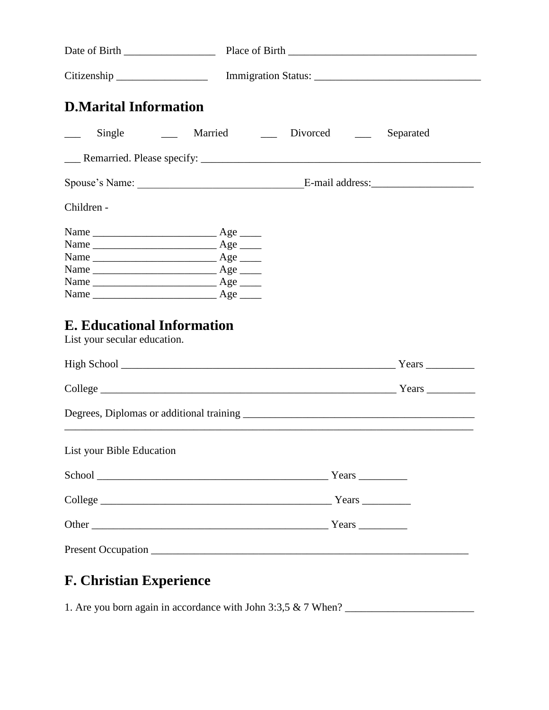|                                                                   |                         | Citizenship ______________________ Immigration Status: __________________________ |
|-------------------------------------------------------------------|-------------------------|-----------------------------------------------------------------------------------|
| <b>D.Marital Information</b>                                      |                         |                                                                                   |
| $\frac{1}{2}$                                                     | Single Married Divorced | Separated                                                                         |
|                                                                   |                         |                                                                                   |
|                                                                   |                         |                                                                                   |
| Children -                                                        |                         |                                                                                   |
| <b>E. Educational Information</b><br>List your secular education. |                         |                                                                                   |
|                                                                   |                         |                                                                                   |
|                                                                   |                         |                                                                                   |
|                                                                   |                         |                                                                                   |
| List your Bible Education                                         |                         |                                                                                   |
|                                                                   |                         |                                                                                   |
|                                                                   |                         |                                                                                   |
|                                                                   |                         |                                                                                   |
|                                                                   |                         |                                                                                   |

## **F. Christian Experience**

1. Are you born again in accordance with John 3:3,5  $& 7$  When?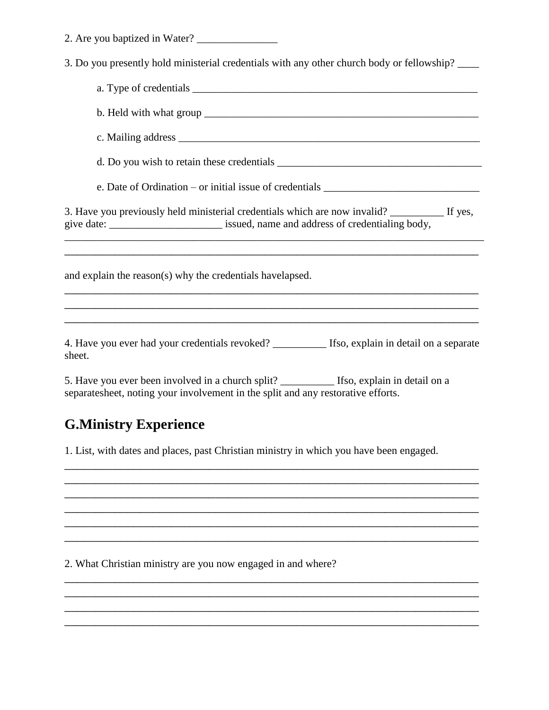| 2. Are you baptized in Water? |  |
|-------------------------------|--|
|-------------------------------|--|

3. Do you presently hold ministerial credentials with any other church body or fellowship? \_\_\_\_

| e. Date of Ordination – or initial issue of credentials _________________________                                                                                                          |  |  |  |
|--------------------------------------------------------------------------------------------------------------------------------------------------------------------------------------------|--|--|--|
| 3. Have you previously held ministerial credentials which are now invalid? ____________ If yes,<br>give date: ____________________________ issued, name and address of credentialing body, |  |  |  |
| and explain the reason(s) why the credentials havelapsed.                                                                                                                                  |  |  |  |
| 4. Have you ever had your credentials revoked? ___________ Ifso, explain in detail on a separate                                                                                           |  |  |  |
| sheet.<br>5. Have you ever been involved in a church split? __________ Ifso, explain in detail on a                                                                                        |  |  |  |
| separatesheet, noting your involvement in the split and any restorative efforts.                                                                                                           |  |  |  |

### **G.Ministry Experience**

1. List, with dates and places, past Christian ministry in which you have been engaged.

\_\_\_\_\_\_\_\_\_\_\_\_\_\_\_\_\_\_\_\_\_\_\_\_\_\_\_\_\_\_\_\_\_\_\_\_\_\_\_\_\_\_\_\_\_\_\_\_\_\_\_\_\_\_\_\_\_\_\_\_\_\_\_\_\_\_  $\overline{\phantom{a}}$  , and the contribution of the contribution of the contribution of the contribution of the contribution of the contribution of the contribution of the contribution of the contribution of the contribution of the  $\overline{a_1}$  ,  $\overline{a_2}$  ,  $\overline{a_3}$  ,  $\overline{a_4}$  ,  $\overline{a_5}$  ,  $\overline{a_6}$  ,  $\overline{a_7}$  ,  $\overline{a_8}$  ,  $\overline{a_9}$  ,  $\overline{a_9}$  ,  $\overline{a_9}$  ,  $\overline{a_9}$  ,  $\overline{a_9}$  ,  $\overline{a_9}$  ,  $\overline{a_9}$  ,  $\overline{a_9}$  ,  $\overline{a_9}$  ,  $\overline{a_1}$  ,  $\overline{a_2}$  ,  $\overline{a_3}$  ,  $\overline{a_4}$  ,  $\overline{a_5}$  ,  $\overline{a_6}$  ,  $\overline{a_7}$  ,  $\overline{a_8}$  ,  $\overline{a_9}$  ,  $\overline{a_9}$  ,  $\overline{a_9}$  ,  $\overline{a_9}$  ,  $\overline{a_9}$  ,  $\overline{a_9}$  ,  $\overline{a_9}$  ,  $\overline{a_9}$  ,  $\overline{a_9}$  ,  $\overline{a_1}$  ,  $\overline{a_2}$  ,  $\overline{a_3}$  ,  $\overline{a_4}$  ,  $\overline{a_5}$  ,  $\overline{a_6}$  ,  $\overline{a_7}$  ,  $\overline{a_8}$  ,  $\overline{a_9}$  ,  $\overline{a_9}$  ,  $\overline{a_9}$  ,  $\overline{a_9}$  ,  $\overline{a_9}$  ,  $\overline{a_9}$  ,  $\overline{a_9}$  ,  $\overline{a_9}$  ,  $\overline{a_9}$  ,  $\overline{a_1}$  ,  $\overline{a_2}$  ,  $\overline{a_3}$  ,  $\overline{a_4}$  ,  $\overline{a_5}$  ,  $\overline{a_6}$  ,  $\overline{a_7}$  ,  $\overline{a_8}$  ,  $\overline{a_9}$  ,  $\overline{a_9}$  ,  $\overline{a_9}$  ,  $\overline{a_9}$  ,  $\overline{a_9}$  ,  $\overline{a_9}$  ,  $\overline{a_9}$  ,  $\overline{a_9}$  ,  $\overline{a_9}$  ,

\_\_\_\_\_\_\_\_\_\_\_\_\_\_\_\_\_\_\_\_\_\_\_\_\_\_\_\_\_\_\_\_\_\_\_\_\_\_\_\_\_\_\_\_\_\_\_\_\_\_\_\_\_\_\_\_\_\_\_\_\_\_\_\_\_\_  $\overline{\phantom{a}}$  , and the contract of the contract of the contract of the contract of the contract of the contract of the contract of the contract of the contract of the contract of the contract of the contract of the contrac  $\overline{\phantom{a}}$  , and the contract of the contract of the contract of the contract of the contract of the contract of the contract of the contract of the contract of the contract of the contract of the contract of the contrac  $\overline{a_1}$  ,  $\overline{a_2}$  ,  $\overline{a_3}$  ,  $\overline{a_4}$  ,  $\overline{a_5}$  ,  $\overline{a_6}$  ,  $\overline{a_7}$  ,  $\overline{a_8}$  ,  $\overline{a_9}$  ,  $\overline{a_9}$  ,  $\overline{a_9}$  ,  $\overline{a_9}$  ,  $\overline{a_9}$  ,  $\overline{a_9}$  ,  $\overline{a_9}$  ,  $\overline{a_9}$  ,  $\overline{a_9}$  ,

2. What Christian ministry are you now engaged in and where?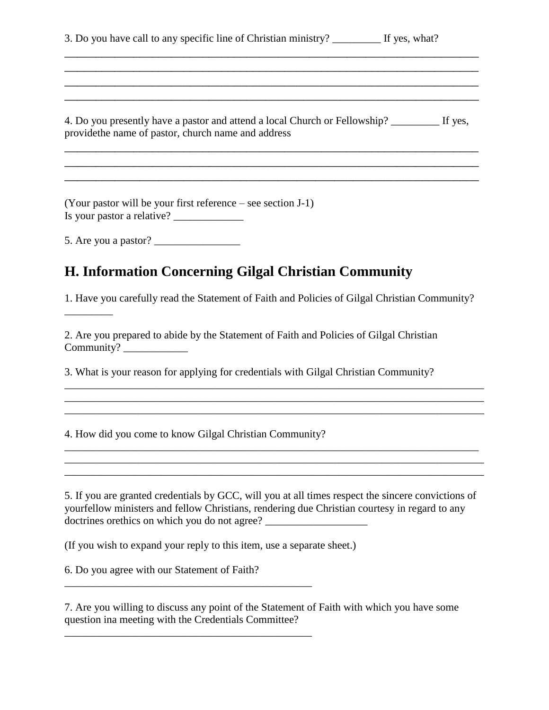| 3. Do you have call to any specific line of Christian ministry? | If yes, what? |
|-----------------------------------------------------------------|---------------|
|-----------------------------------------------------------------|---------------|

4. Do you presently have a pastor and attend a local Church or Fellowship? \_\_\_\_\_\_\_\_\_ If yes, providethe name of pastor, church name and address

\_\_\_\_\_\_\_\_\_\_\_\_\_\_\_\_\_\_\_\_\_\_\_\_\_\_\_\_\_\_\_\_\_\_\_\_\_\_\_\_\_\_\_\_\_\_\_\_\_\_\_\_\_\_\_\_\_\_\_\_\_\_\_\_\_\_ \_\_\_\_\_\_\_\_\_\_\_\_\_\_\_\_\_\_\_\_\_\_\_\_\_\_\_\_\_\_\_\_\_\_\_\_\_\_\_\_\_\_\_\_\_\_\_\_\_\_\_\_\_\_\_\_\_\_\_\_\_\_\_\_\_\_  $\overline{a_1}$  ,  $\overline{a_2}$  ,  $\overline{a_3}$  ,  $\overline{a_4}$  ,  $\overline{a_5}$  ,  $\overline{a_6}$  ,  $\overline{a_7}$  ,  $\overline{a_8}$  ,  $\overline{a_9}$  ,  $\overline{a_9}$  ,  $\overline{a_9}$  ,  $\overline{a_9}$  ,  $\overline{a_9}$  ,  $\overline{a_9}$  ,  $\overline{a_9}$  ,  $\overline{a_9}$  ,  $\overline{a_9}$  ,

 $\overline{\phantom{a}}$  , and the contract of the contract of the contract of the contract of the contract of the contract of the contract of the contract of the contract of the contract of the contract of the contract of the contrac \_\_\_\_\_\_\_\_\_\_\_\_\_\_\_\_\_\_\_\_\_\_\_\_\_\_\_\_\_\_\_\_\_\_\_\_\_\_\_\_\_\_\_\_\_\_\_\_\_\_\_\_\_\_\_\_\_\_\_\_\_\_\_\_\_\_ \_\_\_\_\_\_\_\_\_\_\_\_\_\_\_\_\_\_\_\_\_\_\_\_\_\_\_\_\_\_\_\_\_\_\_\_\_\_\_\_\_\_\_\_\_\_\_\_\_\_\_\_\_\_\_\_\_\_\_\_\_\_\_\_\_\_  $\overline{a_1}$  ,  $\overline{a_2}$  ,  $\overline{a_3}$  ,  $\overline{a_4}$  ,  $\overline{a_5}$  ,  $\overline{a_6}$  ,  $\overline{a_7}$  ,  $\overline{a_8}$  ,  $\overline{a_9}$  ,  $\overline{a_9}$  ,  $\overline{a_9}$  ,  $\overline{a_9}$  ,  $\overline{a_9}$  ,  $\overline{a_9}$  ,  $\overline{a_9}$  ,  $\overline{a_9}$  ,  $\overline{a_9}$  ,

(Your pastor will be your first reference – see section J-1) Is your pastor a relative? \_\_\_\_\_\_\_\_\_\_\_\_\_

5. Are you a pastor? \_\_\_\_\_\_\_\_\_\_\_\_\_\_\_\_

\_\_\_\_\_\_\_\_\_

#### **H. Information Concerning Gilgal Christian Community**

1. Have you carefully read the Statement of Faith and Policies of Gilgal Christian Community?

\_\_\_\_\_\_\_\_\_\_\_\_\_\_\_\_\_\_\_\_\_\_\_\_\_\_\_\_\_\_\_\_\_\_\_\_\_\_\_\_\_\_\_\_\_\_\_\_\_\_\_\_\_\_\_\_\_\_\_\_\_\_\_\_\_\_\_\_\_\_\_\_\_\_\_\_\_\_  $\mathcal{L}_\text{max}$  , and the set of the set of the set of the set of the set of the set of the set of the set of the set of the set of the set of the set of the set of the set of the set of the set of the set of the set of the \_\_\_\_\_\_\_\_\_\_\_\_\_\_\_\_\_\_\_\_\_\_\_\_\_\_\_\_\_\_\_\_\_\_\_\_\_\_\_\_\_\_\_\_\_\_\_\_\_\_\_\_\_\_\_\_\_\_\_\_\_\_\_\_\_\_\_\_\_\_\_\_\_\_\_\_\_\_

2. Are you prepared to abide by the Statement of Faith and Policies of Gilgal Christian Community? \_\_\_\_\_\_\_\_\_\_\_\_

3. What is your reason for applying for credentials with Gilgal Christian Community?

4. How did you come to know Gilgal Christian Community?

5. If you are granted credentials by GCC, will you at all times respect the sincere convictions of yourfellow ministers and fellow Christians, rendering due Christian courtesy in regard to any doctrines orethics on which you do not agree?

\_\_\_\_\_\_\_\_\_\_\_\_\_\_\_\_\_\_\_\_\_\_\_\_\_\_\_\_\_\_\_\_\_\_\_\_\_\_\_\_\_\_\_\_\_\_\_\_\_\_\_\_\_\_\_\_\_\_\_\_\_\_\_\_\_\_\_\_\_\_\_\_\_\_\_\_\_ \_\_\_\_\_\_\_\_\_\_\_\_\_\_\_\_\_\_\_\_\_\_\_\_\_\_\_\_\_\_\_\_\_\_\_\_\_\_\_\_\_\_\_\_\_\_\_\_\_\_\_\_\_\_\_\_\_\_\_\_\_\_\_\_\_\_\_\_\_\_\_\_\_\_\_\_\_\_ \_\_\_\_\_\_\_\_\_\_\_\_\_\_\_\_\_\_\_\_\_\_\_\_\_\_\_\_\_\_\_\_\_\_\_\_\_\_\_\_\_\_\_\_\_\_\_\_\_\_\_\_\_\_\_\_\_\_\_\_\_\_\_\_\_\_\_\_\_\_\_\_\_\_\_\_\_\_

(If you wish to expand your reply to this item, use a separate sheet.)

6. Do you agree with our Statement of Faith?

\_\_\_\_\_\_\_\_\_\_\_\_\_\_\_\_\_\_\_\_\_\_\_\_\_\_\_\_\_\_\_\_\_\_\_\_\_\_\_\_\_\_\_\_\_\_

\_\_\_\_\_\_\_\_\_\_\_\_\_\_\_\_\_\_\_\_\_\_\_\_\_\_\_\_\_\_\_\_\_\_\_\_\_\_\_\_\_\_\_\_\_\_

7. Are you willing to discuss any point of the Statement of Faith with which you have some question ina meeting with the Credentials Committee?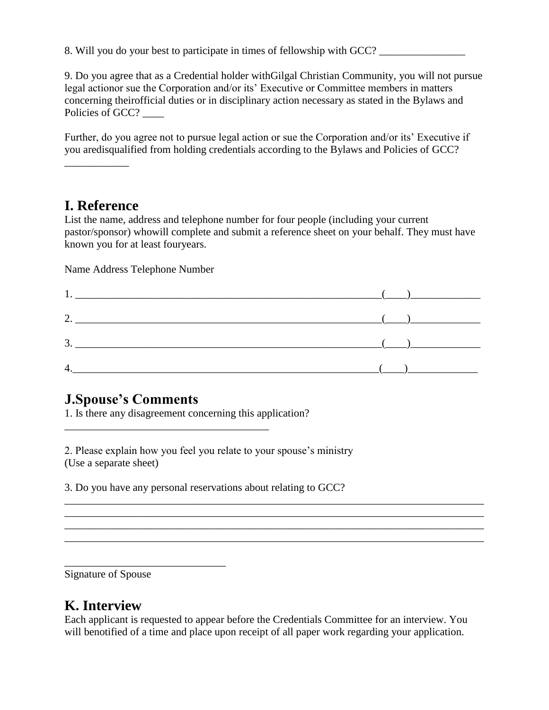8. Will you do your best to participate in times of fellowship with GCC?

9. Do you agree that as a Credential holder withGilgal Christian Community, you will not pursue legal actionor sue the Corporation and/or its' Executive or Committee members in matters concerning theirofficial duties or in disciplinary action necessary as stated in the Bylaws and Policies of GCC?

Further, do you agree not to pursue legal action or sue the Corporation and/or its' Executive if you aredisqualified from holding credentials according to the Bylaws and Policies of GCC?

\_\_\_\_\_\_\_\_\_\_\_\_

#### **I. Reference**

List the name, address and telephone number for four people (including your current pastor/sponsor) whowill complete and submit a reference sheet on your behalf. They must have known you for at least fouryears.

Name Address Telephone Number

| 2. $\hspace{2.5cm}$ ( )   |                                              |
|---------------------------|----------------------------------------------|
| $\overline{\mathbf{3}}$ . | $\left(\begin{array}{cc} \end{array}\right)$ |
|                           |                                              |

#### **J.Spouse's Comments**

1. Is there any disagreement concerning this application?

\_\_\_\_\_\_\_\_\_\_\_\_\_\_\_\_\_\_\_\_\_\_\_\_\_\_\_\_\_\_\_\_\_\_\_\_\_\_

2. Please explain how you feel you relate to your spouse's ministry (Use a separate sheet)

3. Do you have any personal reservations about relating to GCC?

Signature of Spouse

\_\_\_\_\_\_\_\_\_\_\_\_\_\_\_\_\_\_\_\_\_\_\_\_\_\_\_\_\_\_

#### **K. Interview**

Each applicant is requested to appear before the Credentials Committee for an interview. You will benotified of a time and place upon receipt of all paper work regarding your application.

\_\_\_\_\_\_\_\_\_\_\_\_\_\_\_\_\_\_\_\_\_\_\_\_\_\_\_\_\_\_\_\_\_\_\_\_\_\_\_\_\_\_\_\_\_\_\_\_\_\_\_\_\_\_\_\_\_\_\_\_\_\_\_\_\_\_\_\_\_\_\_\_\_\_\_\_\_\_ \_\_\_\_\_\_\_\_\_\_\_\_\_\_\_\_\_\_\_\_\_\_\_\_\_\_\_\_\_\_\_\_\_\_\_\_\_\_\_\_\_\_\_\_\_\_\_\_\_\_\_\_\_\_\_\_\_\_\_\_\_\_\_\_\_\_\_\_\_\_\_\_\_\_\_\_\_\_ \_\_\_\_\_\_\_\_\_\_\_\_\_\_\_\_\_\_\_\_\_\_\_\_\_\_\_\_\_\_\_\_\_\_\_\_\_\_\_\_\_\_\_\_\_\_\_\_\_\_\_\_\_\_\_\_\_\_\_\_\_\_\_\_\_\_\_\_\_\_\_\_\_\_\_\_\_\_ \_\_\_\_\_\_\_\_\_\_\_\_\_\_\_\_\_\_\_\_\_\_\_\_\_\_\_\_\_\_\_\_\_\_\_\_\_\_\_\_\_\_\_\_\_\_\_\_\_\_\_\_\_\_\_\_\_\_\_\_\_\_\_\_\_\_\_\_\_\_\_\_\_\_\_\_\_\_